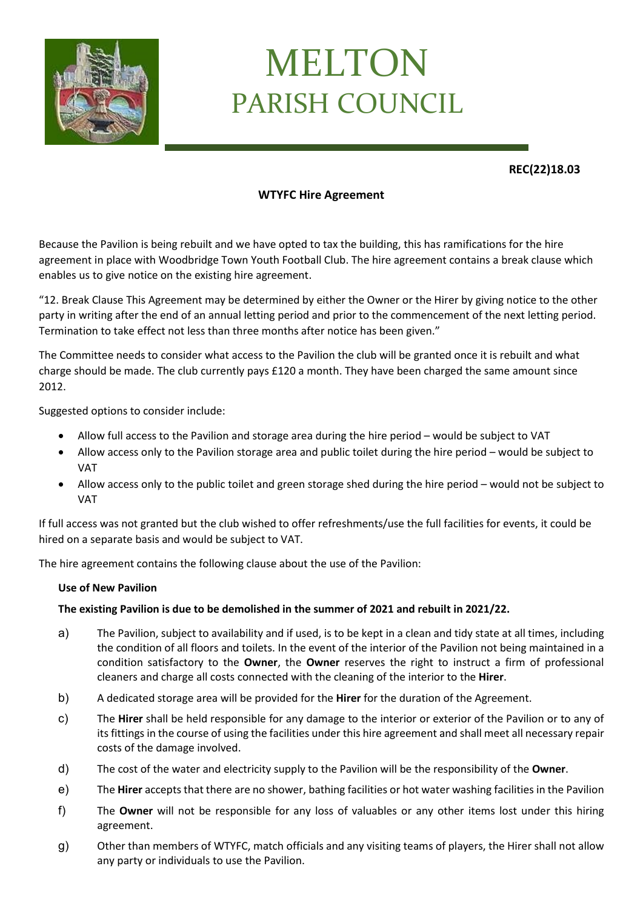

# MELTON PARISH COUNCIL

**REC(22)18.03**

## **WTYFC Hire Agreement**

Because the Pavilion is being rebuilt and we have opted to tax the building, this has ramifications for the hire agreement in place with Woodbridge Town Youth Football Club. The hire agreement contains a break clause which enables us to give notice on the existing hire agreement.

"12. Break Clause This Agreement may be determined by either the Owner or the Hirer by giving notice to the other party in writing after the end of an annual letting period and prior to the commencement of the next letting period. Termination to take effect not less than three months after notice has been given."

The Committee needs to consider what access to the Pavilion the club will be granted once it is rebuilt and what charge should be made. The club currently pays £120 a month. They have been charged the same amount since 2012.

Suggested options to consider include:

- Allow full access to the Pavilion and storage area during the hire period would be subject to VAT
- Allow access only to the Pavilion storage area and public toilet during the hire period would be subject to VAT
- Allow access only to the public toilet and green storage shed during the hire period would not be subject to VAT

If full access was not granted but the club wished to offer refreshments/use the full facilities for events, it could be hired on a separate basis and would be subject to VAT.

The hire agreement contains the following clause about the use of the Pavilion:

#### **Use of New Pavilion**

### **The existing Pavilion is due to be demolished in the summer of 2021 and rebuilt in 2021/22.**

- a) The Pavilion, subject to availability and if used, is to be kept in a clean and tidy state at all times, including the condition of all floors and toilets. In the event of the interior of the Pavilion not being maintained in a condition satisfactory to the **Owner**, the **Owner** reserves the right to instruct a firm of professional cleaners and charge all costs connected with the cleaning of the interior to the **Hirer**.
- b) A dedicated storage area will be provided for the **Hirer** for the duration of the Agreement.
- c) The **Hirer** shall be held responsible for any damage to the interior or exterior of the Pavilion or to any of its fittings in the course of using the facilities under this hire agreement and shall meet all necessary repair costs of the damage involved.
- d) The cost of the water and electricity supply to the Pavilion will be the responsibility of the **Owner**.
- e) The **Hirer** accepts that there are no shower, bathing facilities or hot water washing facilities in the Pavilion
- f) The **Owner** will not be responsible for any loss of valuables or any other items lost under this hiring agreement.
- g) Other than members of WTYFC, match officials and any visiting teams of players, the Hirer shall not allow any party or individuals to use the Pavilion.